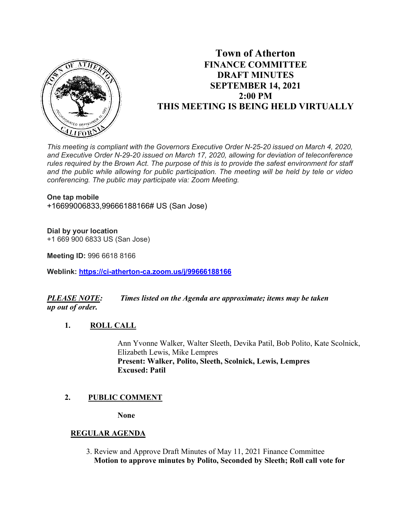

# **Town of Atherton FINANCE COMMITTEE DRAFT MINUTES SEPTEMBER 14, 2021 2:00 PM THIS MEETING IS BEING HELD VIRTUALLY**

*This meeting is compliant with the Governors Executive Order N-25-20 issued on March 4, 2020, and Executive Order N-29-20 issued on March 17, 2020, allowing for deviation of teleconference rules required by the Brown Act. The purpose of this is to provide the safest environment for staff and the public while allowing for public participation. The meeting will be held by tele or video conferencing. The public may participate via: Zoom Meeting.*

#### **One tap mobile**

+16699006833,99666188166# US (San Jose)

### **Dial by your location**

+1 669 900 6833 US (San Jose)

**Meeting ID:** 996 6618 8166

**Weblink: <https://ci-atherton-ca.zoom.us/j/99666188166>**

## *PLEASE NOTE: Times listed on the Agenda are approximate; items may be taken up out of order.*

**1. ROLL CALL** 

Ann Yvonne Walker, Walter Sleeth, Devika Patil, Bob Polito, Kate Scolnick, Elizabeth Lewis, Mike Lempres **Present: Walker, Polito, Sleeth, Scolnick, Lewis, Lempres Excused: Patil**

## **2. PUBLIC COMMENT**

**None**

### **REGULAR AGENDA**

 3. Review and Approve Draft Minutes of May 11, 2021 Finance Committee **Motion to approve minutes by Polito, Seconded by Sleeth; Roll call vote for**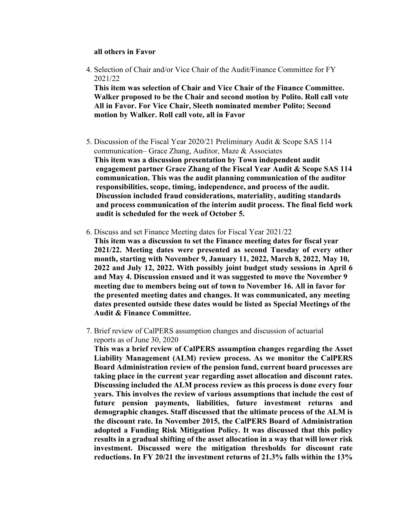#### **all others in Favor**

4. Selection of Chair and/or Vice Chair of the Audit/Finance Committee for FY 2021/22

**This item was selection of Chair and Vice Chair of the Finance Committee. Walker proposed to be the Chair and second motion by Polito. Roll call vote All in Favor. For Vice Chair, Sleeth nominated member Polito; Second motion by Walker. Roll call vote, all in Favor**

- 5. Discussion of the Fiscal Year 2020/21 Preliminary Audit & Scope SAS 114 communication– Grace Zhang, Auditor, Maze & Associates **This item was a discussion presentation by Town independent audit engagement partner Grace Zhang of the Fiscal Year Audit & Scope SAS 114 communication. This was the audit planning communication of the auditor responsibilities, scope, timing, independence, and process of the audit. Discussion included fraud considerations, materiality, auditing standards and process communication of the interim audit process. The final field work audit is scheduled for the week of October 5.**
- 6. Discuss and set Finance Meeting dates for Fiscal Year 2021/22 **This item was a discussion to set the Finance meeting dates for fiscal year 2021/22. Meeting dates were presented as second Tuesday of every other month, starting with November 9, January 11, 2022, March 8, 2022, May 10, 2022 and July 12, 2022. With possibly joint budget study sessions in April 6 and May 4. Discussion ensued and it was suggested to move the November 9 meeting due to members being out of town to November 16. All in favor for the presented meeting dates and changes. It was communicated, any meeting dates presented outside these dates would be listed as Special Meetings of the Audit & Finance Committee.**
- 7. Brief review of CalPERS assumption changes and discussion of actuarial reports as of June 30, 2020

**This was a brief review of CalPERS assumption changes regarding the Asset Liability Management (ALM) review process. As we monitor the CalPERS Board Administration review of the pension fund, current board processes are taking place in the current year regarding asset allocation and discount rates. Discussing included the ALM process review as this process is done every four years. This involves the review of various assumptions that include the cost of future pension payments, liabilities, future investment returns and demographic changes. Staff discussed that the ultimate process of the ALM is the discount rate. In November 2015, the CalPERS Board of Administration adopted a Funding Risk Mitigation Policy. It was discussed that this policy results in a gradual shifting of the asset allocation in a way that will lower risk investment. Discussed were the mitigation thresholds for discount rate reductions. In FY 20/21 the investment returns of 21.3% falls within the 13%**